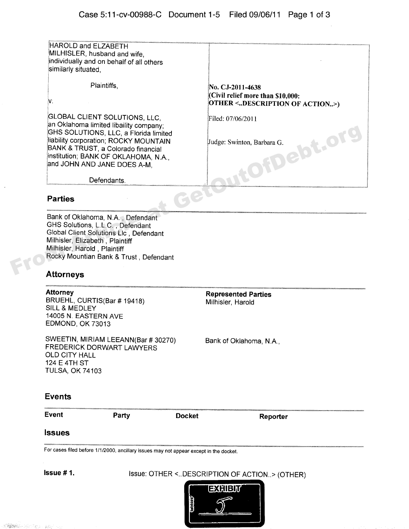| HAROLD and ELZABETH<br>MILHISLER, husband and wife,<br>individually and on behalf of all others<br>similarly situated,                                                                                                                                                        |                                                                                                             |
|-------------------------------------------------------------------------------------------------------------------------------------------------------------------------------------------------------------------------------------------------------------------------------|-------------------------------------------------------------------------------------------------------------|
| Plaintiffs,<br>N.                                                                                                                                                                                                                                                             | No. CJ-2011-4638<br>(Civil relief more than \$10,000:<br>OTHER <description action="" of="">)</description> |
| <b>GLOBAL CLIENT SOLUTIONS, LLC,</b><br>an Oklahoma limited libaility company;<br>GHS SOLUTIONS, LLC, a Florida limited<br>liability corporation; ROCKY MOUNTAIN<br>BANK & TRUST, a Colorado financial<br>institution; BANK OF OKLAHOMA, N.A.,<br>and JOHN AND JANE DOES A-M, | Filed: 07/06/2011<br>ebt.ol<br>Judge: Swinton, Barbara G.                                                   |
| Defendants.                                                                                                                                                                                                                                                                   |                                                                                                             |
| <b>Parties</b>                                                                                                                                                                                                                                                                |                                                                                                             |
| Bank of Oklahoma, N.A., Defendant<br>GHS Solutions, L.L.C., Defendant<br>Global Client Solutions Llc, Defendant<br>Milhisler, Elizabeth, Plaintiff<br>Milhisler, Harold, Plaintiff<br>Rocky Mountian Bank & Trust, Defendant                                                  |                                                                                                             |
| Afforneve                                                                                                                                                                                                                                                                     |                                                                                                             |

### **Parties**

## **Attorneys**

**Attorney Constraining Parties Represented Parties**<br>BRUEHL, CURTIS(Bar # 19418) Milhisler, Harold SILL & MEDLEY 14005 N. EASTERN AVE EDMOND, OK 73013

SWEETIN, MIRIAM LEEANN(Bar # 30270) Bank of Oklahoma, N.A., FREDERICK DORWART LAWYERS OLD CITY HALL 124 E 4TH ST TULSA, OK 74103

#### **Events**

**Event Party Docket Reporter**

#### **Issues**

For cases filed before 1/1/2000, ancillary issues may not appear except in the docket.

**Issue #1.** Issue: OTHER <..DESCRIPTION OF ACTION..> (OTHER)

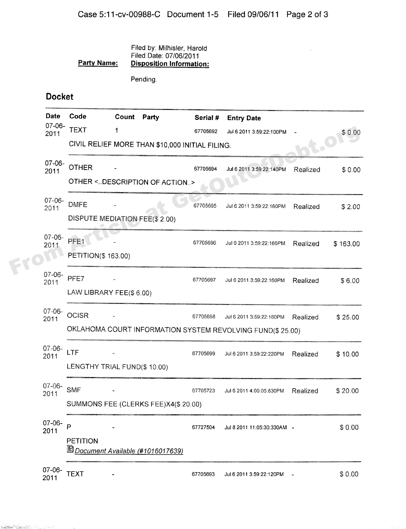#### Filed by: Milhisler, Harold Filed Date: 07/06/2011 **Party Name: Pisposition Information:**

Pending.

# Docket

and the company of the company of the company of the company of the company of the company of the company of the company of the company of the company of the company of the company of the company of the company of the comp

|                         | <b>Date</b>                               | Code                                                       | Count Party  |  | Serial # | <b>Entry Date</b>           |          |          |  |
|-------------------------|-------------------------------------------|------------------------------------------------------------|--------------|--|----------|-----------------------------|----------|----------|--|
|                         | $07-06-$<br>2011                          | <b>TEXT</b>                                                | 1            |  | 67705692 | Jul 6 2011 3:59:22:100PM    |          | \$0.00   |  |
|                         |                                           | CIVIL RELIEF MORE THAN \$10,000 INITIAL FILING.            | <b>IC.OI</b> |  |          |                             |          |          |  |
|                         | $07 - 06 -$<br>2011                       | <b>OTHER</b>                                               |              |  | 67705694 | Jul 6 2011 3:59:22:140PM    | Realized | \$0.00   |  |
|                         |                                           | OTHER <description action="" of=""></description>          |              |  |          |                             |          |          |  |
|                         | $07 - 06 -$<br>2011                       | <b>DMFE</b>                                                |              |  | 67705695 | Jul 6 2011 3:59:22:160PM    | Realized | \$2.00   |  |
|                         |                                           | DISPUTE MEDIATION FEE(\$ 2.00)                             |              |  |          |                             |          |          |  |
|                         | $07 - 06 -$<br>2011                       | PFE <sub>1</sub>                                           |              |  | 67705696 | Jul 6 2011 3:59:22:160PM    | Realized | \$163.00 |  |
|                         |                                           | <b>PETITION(\$163.00)</b>                                  |              |  |          |                             |          |          |  |
|                         | $07 - 06 -$<br>2011                       | PFE7                                                       |              |  | 67705697 | Jul 6 2011 3:59:22:160PM    | Realized | \$6.00   |  |
|                         |                                           | LAW LIBRARY FEE(\$6.00)                                    |              |  |          |                             |          |          |  |
|                         | $07 - 06 -$<br>2011                       | <b>OCISR</b>                                               |              |  | 67705698 | Jul 6 2011 3:59:22:160PM    | Realized | \$25.00  |  |
|                         |                                           | OKLAHOMA COURT INFORMATION SYSTEM REVOLVING FUND(\$ 25.00) |              |  |          |                             |          |          |  |
|                         | $07 - 06 -$<br>2011                       | LTF                                                        |              |  | 67705699 | Jul 6 2011 3:59:22:220PM    | Realized | \$10.00  |  |
|                         |                                           | LENGTHY TRIAL FUND(\$10.00)                                |              |  |          |                             |          |          |  |
|                         | $07 - 06 -$<br>2011                       | <b>SMF</b>                                                 |              |  | 67705723 | Jul 6 2011 4:00:05:830PM    | Realized | \$20.00  |  |
|                         |                                           | SUMMONS FEE (CLERKS FEE)X4(\$ 20.00)                       |              |  |          |                             |          |          |  |
|                         | $07 - 06 -$                               | P                                                          |              |  | 67727504 | Jul 8 2011 11:05:30:330AM - |          | \$0.00   |  |
| 2011<br><b>PETITION</b> |                                           |                                                            |              |  |          |                             |          |          |  |
|                         | <b>B</b> Document Available (#1016017639) |                                                            |              |  |          |                             |          |          |  |
|                         | 07-06-<br>2011                            | <b>TEXT</b>                                                |              |  | 67705693 | Jul 6 2011 3:59:22:120PM    |          | \$0.00   |  |